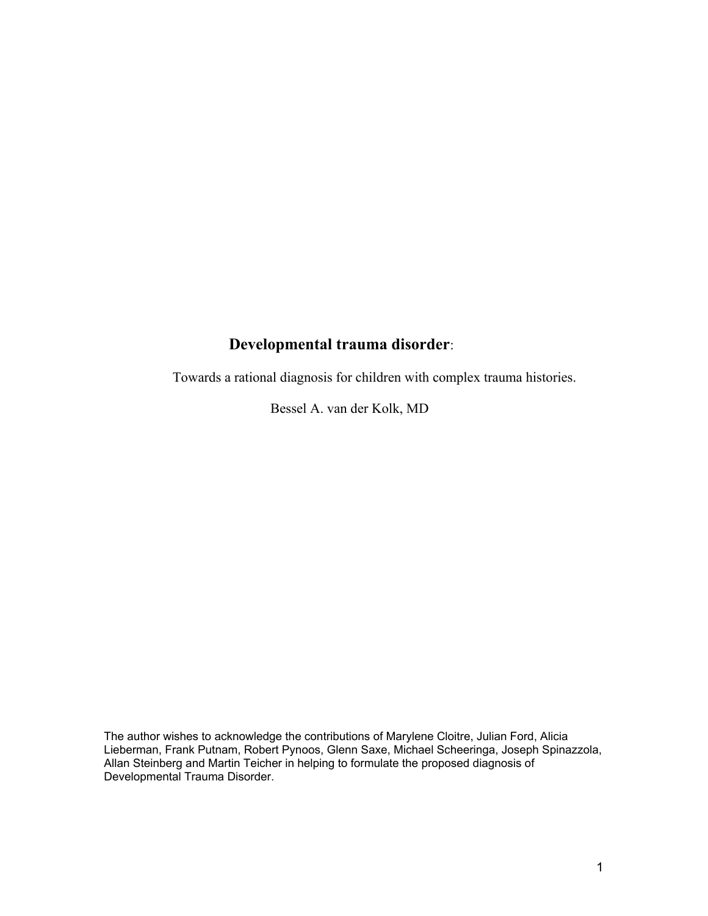## **Developmental trauma disorder**:

Towards a rational diagnosis for children with complex trauma histories.

Bessel A. van der Kolk, MD

The author wishes to acknowledge the contributions of Marylene Cloitre, Julian Ford, Alicia Lieberman, Frank Putnam, Robert Pynoos, Glenn Saxe, Michael Scheeringa, Joseph Spinazzola, Allan Steinberg and Martin Teicher in helping to formulate the proposed diagnosis of Developmental Trauma Disorder.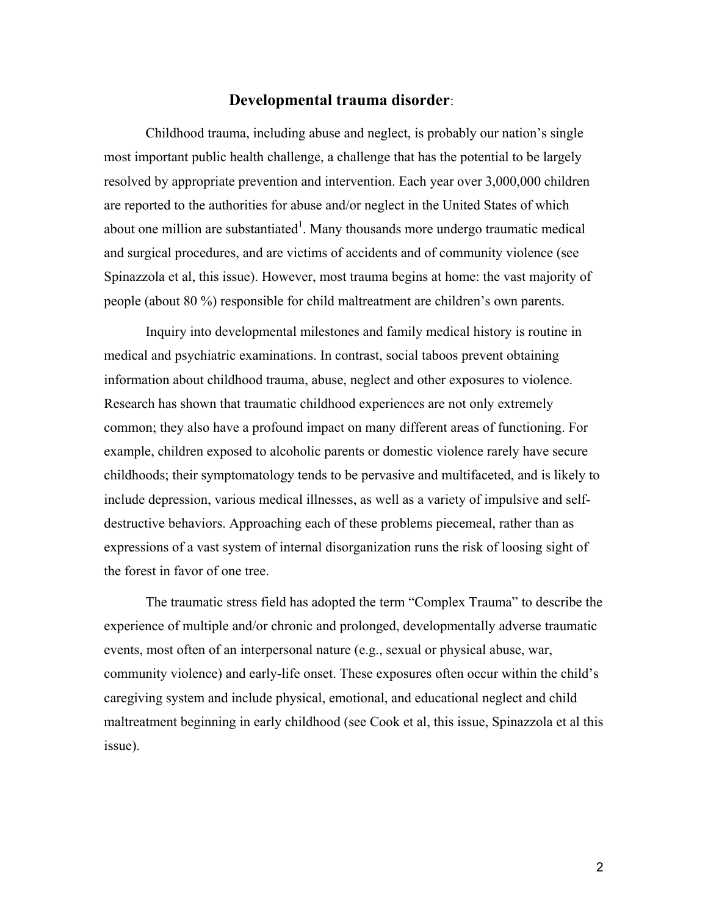### **Developmental trauma disorder**:

Childhood trauma, including abuse and neglect, is probably our nation's single most important public health challenge, a challenge that has the potential to be largely resolved by appropriate prevention and intervention. Each year over 3,000,000 children are reported to the authorities for abuse and/or neglect in the United States of which about one million are substantiated<sup>1</sup>. Many thousands more undergo traumatic medical and surgical procedures, and are victims of accidents and of community violence (see Spinazzola et al, this issue). However, most trauma begins at home: the vast majority of people (about 80 %) responsible for child maltreatment are children's own parents.

Inquiry into developmental milestones and family medical history is routine in medical and psychiatric examinations. In contrast, social taboos prevent obtaining information about childhood trauma, abuse, neglect and other exposures to violence. Research has shown that traumatic childhood experiences are not only extremely common; they also have a profound impact on many different areas of functioning. For example, children exposed to alcoholic parents or domestic violence rarely have secure childhoods; their symptomatology tends to be pervasive and multifaceted, and is likely to include depression, various medical illnesses, as well as a variety of impulsive and selfdestructive behaviors. Approaching each of these problems piecemeal, rather than as expressions of a vast system of internal disorganization runs the risk of loosing sight of the forest in favor of one tree.

The traumatic stress field has adopted the term "Complex Trauma" to describe the experience of multiple and/or chronic and prolonged, developmentally adverse traumatic events, most often of an interpersonal nature (e.g., sexual or physical abuse, war, community violence) and early-life onset. These exposures often occur within the child's caregiving system and include physical, emotional, and educational neglect and child maltreatment beginning in early childhood (see Cook et al, this issue, Spinazzola et al this issue).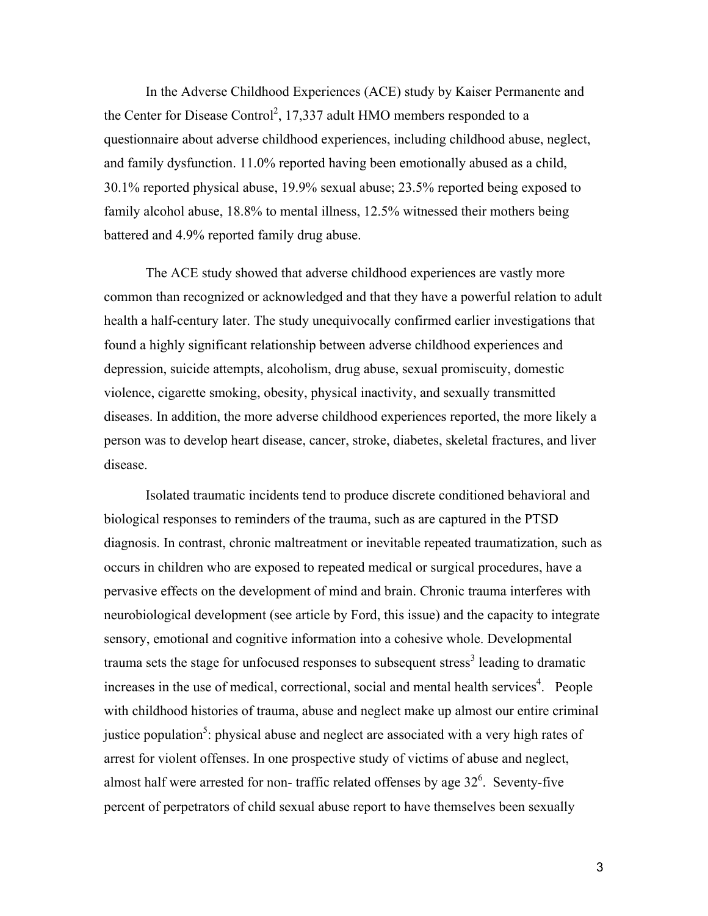In the Adverse Childhood Experiences (ACE) study by Kaiser Permanente and the Center for Disease Control<sup>2</sup>, 17,337 adult HMO members responded to a questionnaire about adverse childhood experiences, including childhood abuse, neglect, and family dysfunction. 11.0% reported having been emotionally abused as a child, 30.1% reported physical abuse, 19.9% sexual abuse; 23.5% reported being exposed to family alcohol abuse, 18.8% to mental illness, 12.5% witnessed their mothers being battered and 4.9% reported family drug abuse.

The ACE study showed that adverse childhood experiences are vastly more common than recognized or acknowledged and that they have a powerful relation to adult health a half-century later. The study unequivocally confirmed earlier investigations that found a highly significant relationship between adverse childhood experiences and depression, suicide attempts, alcoholism, drug abuse, sexual promiscuity, domestic violence, cigarette smoking, obesity, physical inactivity, and sexually transmitted diseases. In addition, the more adverse childhood experiences reported, the more likely a person was to develop heart disease, cancer, stroke, diabetes, skeletal fractures, and liver disease.

Isolated traumatic incidents tend to produce discrete conditioned behavioral and biological responses to reminders of the trauma, such as are captured in the PTSD diagnosis. In contrast, chronic maltreatment or inevitable repeated traumatization, such as occurs in children who are exposed to repeated medical or surgical procedures, have a pervasive effects on the development of mind and brain. Chronic trauma interferes with neurobiological development (see article by Ford, this issue) and the capacity to integrate sensory, emotional and cognitive information into a cohesive whole. Developmental trauma sets the stage for unfocused responses to subsequent stress<sup>3</sup> leading to dramatic increases in the use of medical, correctional, social and mental health services<sup>4</sup>. People with childhood histories of trauma, abuse and neglect make up almost our entire criminal justice population<sup>5</sup>: physical abuse and neglect are associated with a very high rates of arrest for violent offenses. In one prospective study of victims of abuse and neglect, almost half were arrested for non-traffic related offenses by age  $32^6$ . Seventy-five percent of perpetrators of child sexual abuse report to have themselves been sexually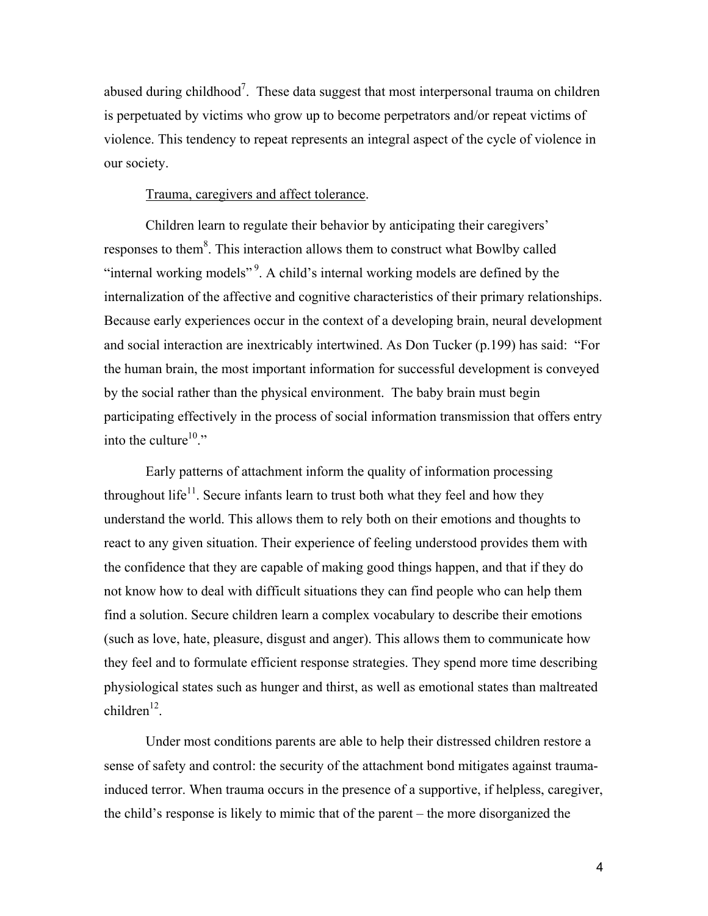abused during childhood<sup>7</sup>. These data suggest that most interpersonal trauma on children is perpetuated by victims who grow up to become perpetrators and/or repeat victims of violence. This tendency to repeat represents an integral aspect of the cycle of violence in our society.

#### Trauma, caregivers and affect tolerance.

Children learn to regulate their behavior by anticipating their caregivers' responses to them $8$ . This interaction allows them to construct what Bowlby called "internal working models"<sup>9</sup>. A child's internal working models are defined by the internalization of the affective and cognitive characteristics of their primary relationships. Because early experiences occur in the context of a developing brain, neural development and social interaction are inextricably intertwined. As Don Tucker (p.199) has said: "For the human brain, the most important information for successful development is conveyed by the social rather than the physical environment. The baby brain must begin participating effectively in the process of social information transmission that offers entry into the culture $10$ ."

Early patterns of attachment inform the quality of information processing throughout life<sup>11</sup>. Secure infants learn to trust both what they feel and how they understand the world. This allows them to rely both on their emotions and thoughts to react to any given situation. Their experience of feeling understood provides them with the confidence that they are capable of making good things happen, and that if they do not know how to deal with difficult situations they can find people who can help them find a solution. Secure children learn a complex vocabulary to describe their emotions (such as love, hate, pleasure, disgust and anger). This allows them to communicate how they feel and to formulate efficient response strategies. They spend more time describing physiological states such as hunger and thirst, as well as emotional states than maltreated children<sup>12</sup>.

Under most conditions parents are able to help their distressed children restore a sense of safety and control: the security of the attachment bond mitigates against traumainduced terror. When trauma occurs in the presence of a supportive, if helpless, caregiver, the child's response is likely to mimic that of the parent – the more disorganized the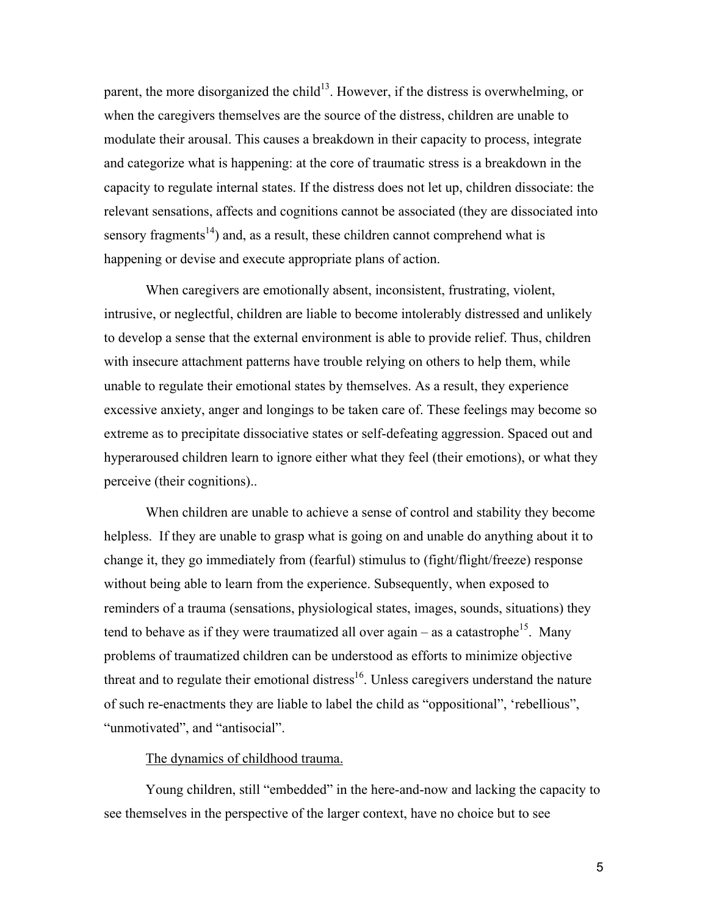parent, the more disorganized the child<sup>13</sup>. However, if the distress is overwhelming, or when the caregivers themselves are the source of the distress, children are unable to modulate their arousal. This causes a breakdown in their capacity to process, integrate and categorize what is happening: at the core of traumatic stress is a breakdown in the capacity to regulate internal states. If the distress does not let up, children dissociate: the relevant sensations, affects and cognitions cannot be associated (they are dissociated into sensory fragments<sup>14</sup>) and, as a result, these children cannot comprehend what is happening or devise and execute appropriate plans of action.

When caregivers are emotionally absent, inconsistent, frustrating, violent, intrusive, or neglectful, children are liable to become intolerably distressed and unlikely to develop a sense that the external environment is able to provide relief. Thus, children with insecure attachment patterns have trouble relying on others to help them, while unable to regulate their emotional states by themselves. As a result, they experience excessive anxiety, anger and longings to be taken care of. These feelings may become so extreme as to precipitate dissociative states or self-defeating aggression. Spaced out and hyperaroused children learn to ignore either what they feel (their emotions), or what they perceive (their cognitions)..

When children are unable to achieve a sense of control and stability they become helpless. If they are unable to grasp what is going on and unable do anything about it to change it, they go immediately from (fearful) stimulus to (fight/flight/freeze) response without being able to learn from the experience. Subsequently, when exposed to reminders of a trauma (sensations, physiological states, images, sounds, situations) they tend to behave as if they were traumatized all over again – as a catastrophe<sup>15</sup>. Many problems of traumatized children can be understood as efforts to minimize objective threat and to regulate their emotional distress<sup>16</sup>. Unless caregivers understand the nature of such re-enactments they are liable to label the child as "oppositional", 'rebellious", "unmotivated", and "antisocial".

## The dynamics of childhood trauma.

Young children, still "embedded" in the here-and-now and lacking the capacity to see themselves in the perspective of the larger context, have no choice but to see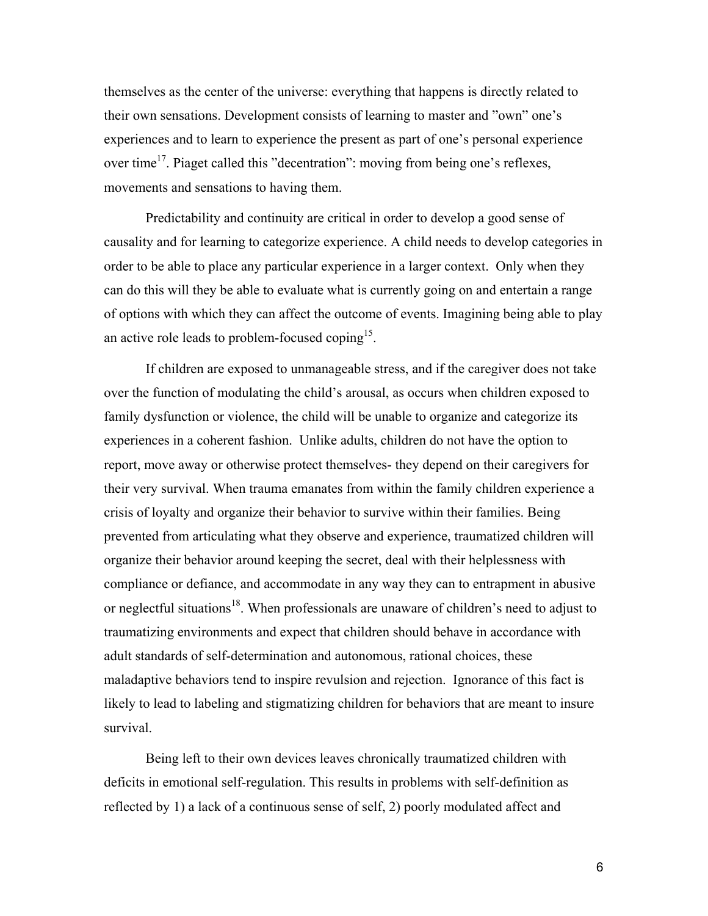themselves as the center of the universe: everything that happens is directly related to their own sensations. Development consists of learning to master and "own" one's experiences and to learn to experience the present as part of one's personal experience over time<sup>17</sup>. Piaget called this "decentration": moving from being one's reflexes, movements and sensations to having them.

Predictability and continuity are critical in order to develop a good sense of causality and for learning to categorize experience. A child needs to develop categories in order to be able to place any particular experience in a larger context. Only when they can do this will they be able to evaluate what is currently going on and entertain a range of options with which they can affect the outcome of events. Imagining being able to play an active role leads to problem-focused coping $^{15}$ .

If children are exposed to unmanageable stress, and if the caregiver does not take over the function of modulating the child's arousal, as occurs when children exposed to family dysfunction or violence, the child will be unable to organize and categorize its experiences in a coherent fashion. Unlike adults, children do not have the option to report, move away or otherwise protect themselves- they depend on their caregivers for their very survival. When trauma emanates from within the family children experience a crisis of loyalty and organize their behavior to survive within their families. Being prevented from articulating what they observe and experience, traumatized children will organize their behavior around keeping the secret, deal with their helplessness with compliance or defiance, and accommodate in any way they can to entrapment in abusive or neglectful situations<sup>18</sup>. When professionals are unaware of children's need to adjust to traumatizing environments and expect that children should behave in accordance with adult standards of self-determination and autonomous, rational choices, these maladaptive behaviors tend to inspire revulsion and rejection. Ignorance of this fact is likely to lead to labeling and stigmatizing children for behaviors that are meant to insure survival.

Being left to their own devices leaves chronically traumatized children with deficits in emotional self-regulation. This results in problems with self-definition as reflected by 1) a lack of a continuous sense of self, 2) poorly modulated affect and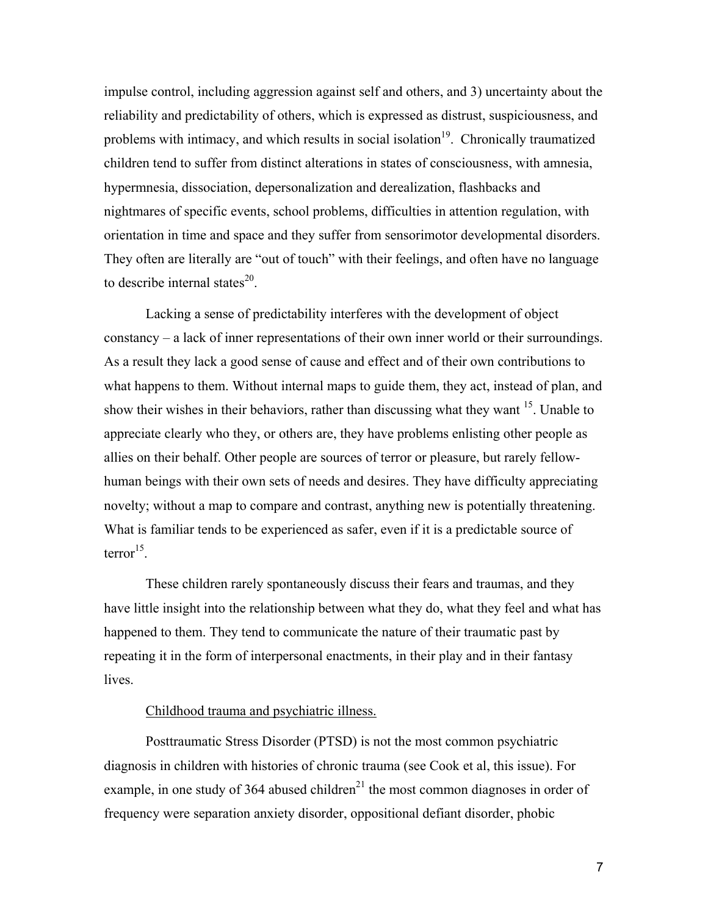impulse control, including aggression against self and others, and 3) uncertainty about the reliability and predictability of others, which is expressed as distrust, suspiciousness, and problems with intimacy, and which results in social isolation<sup>19</sup>. Chronically traumatized children tend to suffer from distinct alterations in states of consciousness, with amnesia, hypermnesia, dissociation, depersonalization and derealization, flashbacks and nightmares of specific events, school problems, difficulties in attention regulation, with orientation in time and space and they suffer from sensorimotor developmental disorders. They often are literally are "out of touch" with their feelings, and often have no language to describe internal states $^{20}$ .

Lacking a sense of predictability interferes with the development of object constancy – a lack of inner representations of their own inner world or their surroundings. As a result they lack a good sense of cause and effect and of their own contributions to what happens to them. Without internal maps to guide them, they act, instead of plan, and show their wishes in their behaviors, rather than discussing what they want <sup>15</sup>. Unable to appreciate clearly who they, or others are, they have problems enlisting other people as allies on their behalf. Other people are sources of terror or pleasure, but rarely fellowhuman beings with their own sets of needs and desires. They have difficulty appreciating novelty; without a map to compare and contrast, anything new is potentially threatening. What is familiar tends to be experienced as safer, even if it is a predictable source of terror<sup>15</sup>.

These children rarely spontaneously discuss their fears and traumas, and they have little insight into the relationship between what they do, what they feel and what has happened to them. They tend to communicate the nature of their traumatic past by repeating it in the form of interpersonal enactments, in their play and in their fantasy lives.

#### Childhood trauma and psychiatric illness.

Posttraumatic Stress Disorder (PTSD) is not the most common psychiatric diagnosis in children with histories of chronic trauma (see Cook et al, this issue). For example, in one study of 364 abused children $^{21}$  the most common diagnoses in order of frequency were separation anxiety disorder, oppositional defiant disorder, phobic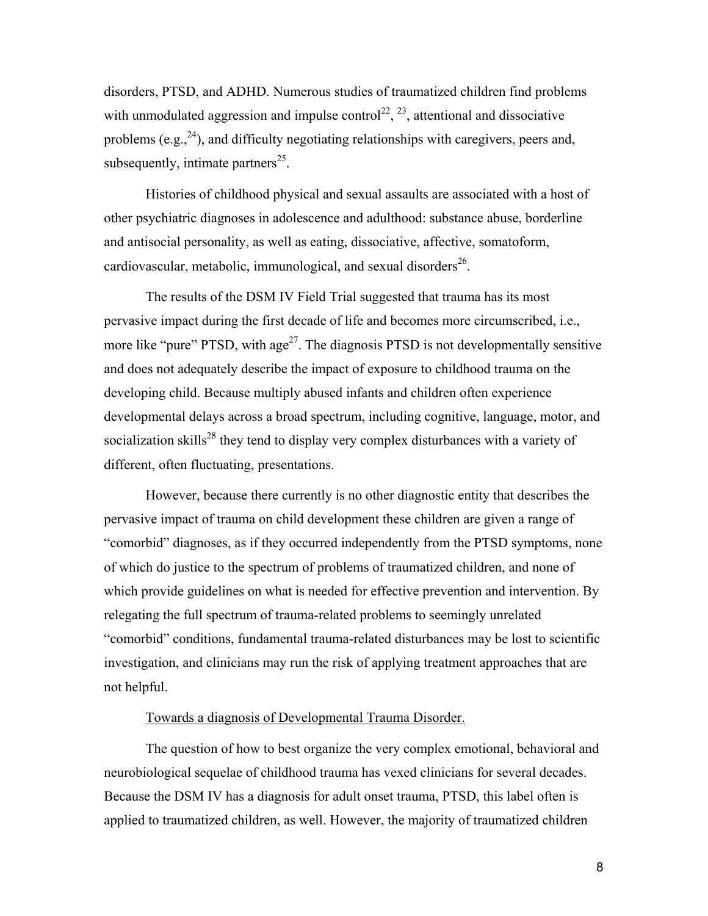disorders, PTSD, and ADHD. Numerous studies of traumatized children find problems with unmodulated aggression and impulse control<sup>22</sup>,  $^{23}$ , attentional and dissociative problems (e.g.,  $^{24}$ ), and difficulty negotiating relationships with caregivers, peers and, subsequently, intimate partners<sup>25</sup>.

Histories of childhood physical and sexual assaults are associated with a host of other psychiatric diagnoses in adolescence and adulthood: substance abuse, borderline and antisocial personality, as well as eating, dissociative, affective, somatoform, cardiovascular, metabolic, immunological, and sexual disorders<sup>26</sup>.

The results of the DSM IV Field Trial suggested that trauma has its most pervasive impact during the first decade of life and becomes more circumscribed, i.e., more like "pure" PTSD, with  $age^{27}$ . The diagnosis PTSD is not developmentally sensitive and does not adequately describe the impact of exposure to childhood trauma on the developing child. Because multiply abused infants and children often experience developmental delays across a broad spectrum, including cognitive, language, motor, and socialization skills<sup>28</sup> they tend to display very complex disturbances with a variety of different, often fluctuating, presentations.

However, because there currently is no other diagnostic entity that describes the pervasive impact of trauma on child development these children are given a range of "comorbid" diagnoses, as if they occurred independently from the PTSD symptoms, none of which do justice to the spectrum of problems of traumatized children, and none of which provide guidelines on what is needed for effective prevention and intervention. By relegating the full spectrum of trauma-related problems to seemingly unrelated "comorbid" conditions, fundamental trauma-related disturbances may be lost to scientific investigation, and clinicians may run the risk of applying treatment approaches that are not helpful.

#### Towards a diagnosis of Developmental Trauma Disorder.

The question of how to best organize the very complex emotional, behavioral and neurobiological sequelae of childhood trauma has vexed clinicians for several decades. Because the DSM IV has a diagnosis for adult onset trauma, PTSD, this label often is applied to traumatized children, as well. However, the majority of traumatized children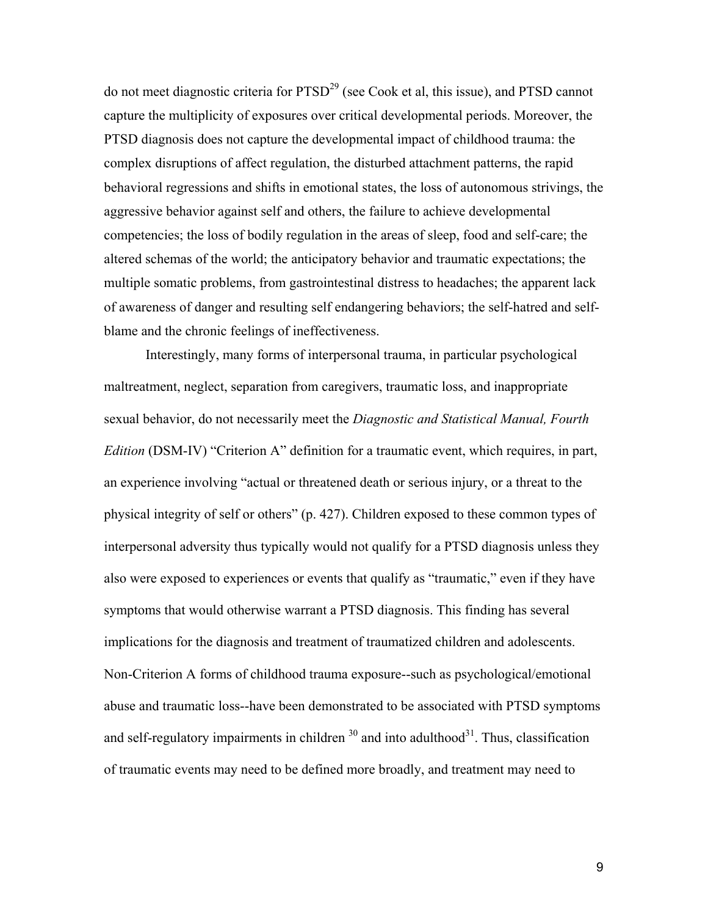do not meet diagnostic criteria for  $PTSD<sup>29</sup>$  (see Cook et al, this issue), and PTSD cannot capture the multiplicity of exposures over critical developmental periods. Moreover, the PTSD diagnosis does not capture the developmental impact of childhood trauma: the complex disruptions of affect regulation, the disturbed attachment patterns, the rapid behavioral regressions and shifts in emotional states, the loss of autonomous strivings, the aggressive behavior against self and others, the failure to achieve developmental competencies; the loss of bodily regulation in the areas of sleep, food and self-care; the altered schemas of the world; the anticipatory behavior and traumatic expectations; the multiple somatic problems, from gastrointestinal distress to headaches; the apparent lack of awareness of danger and resulting self endangering behaviors; the self-hatred and selfblame and the chronic feelings of ineffectiveness.

Interestingly, many forms of interpersonal trauma, in particular psychological maltreatment, neglect, separation from caregivers, traumatic loss, and inappropriate sexual behavior, do not necessarily meet the *Diagnostic and Statistical Manual, Fourth Edition* (DSM-IV) "Criterion A" definition for a traumatic event, which requires, in part, an experience involving "actual or threatened death or serious injury, or a threat to the physical integrity of self or others" (p. 427). Children exposed to these common types of interpersonal adversity thus typically would not qualify for a PTSD diagnosis unless they also were exposed to experiences or events that qualify as "traumatic," even if they have symptoms that would otherwise warrant a PTSD diagnosis. This finding has several implications for the diagnosis and treatment of traumatized children and adolescents. Non-Criterion A forms of childhood trauma exposure--such as psychological/emotional abuse and traumatic loss--have been demonstrated to be associated with PTSD symptoms and self-regulatory impairments in children  $30$  and into adulthood  $31$ . Thus, classification of traumatic events may need to be defined more broadly, and treatment may need to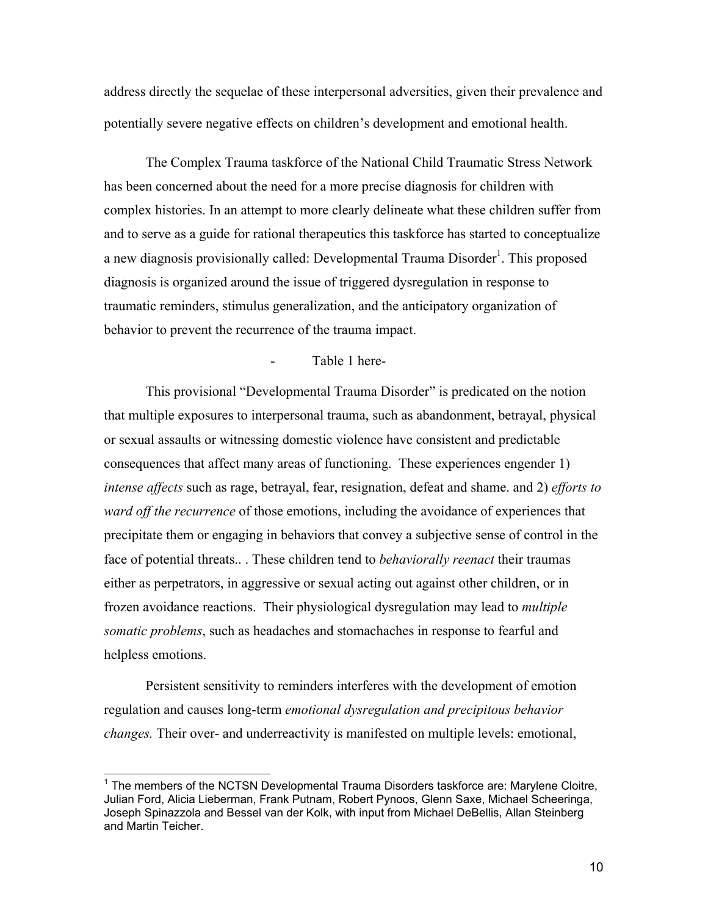address directly the sequelae of these interpersonal adversities, given their prevalence and potentially severe negative effects on children's development and emotional health.

The Complex Trauma taskforce of the National Child Traumatic Stress Network has been concerned about the need for a more precise diagnosis for children with complex histories. In an attempt to more clearly delineate what these children suffer from and to serve as a guide for rational therapeutics this taskforce has started to conceptualize a new diagnosis provisionally called: Developmental Trauma Disorder<sup>1</sup>. This proposed diagnosis is organized around the issue of triggered dysregulation in response to traumatic reminders, stimulus generalization, and the anticipatory organization of behavior to prevent the recurrence of the trauma impact.

#### Table 1 here-

This provisional "Developmental Trauma Disorder" is predicated on the notion that multiple exposures to interpersonal trauma, such as abandonment, betrayal, physical or sexual assaults or witnessing domestic violence have consistent and predictable consequences that affect many areas of functioning. These experiences engender 1) *intense affects* such as rage, betrayal, fear, resignation, defeat and shame. and 2) *efforts to ward off the recurrence* of those emotions, including the avoidance of experiences that precipitate them or engaging in behaviors that convey a subjective sense of control in the face of potential threats.. . These children tend to *behaviorally reenact* their traumas either as perpetrators, in aggressive or sexual acting out against other children, or in frozen avoidance reactions. Their physiological dysregulation may lead to *multiple somatic problems*, such as headaches and stomachaches in response to fearful and helpless emotions.

Persistent sensitivity to reminders interferes with the development of emotion regulation and causes long-term *emotional dysregulation and precipitous behavior changes.* Their over- and underreactivity is manifested on multiple levels: emotional,

 $1$  The members of the NCTSN Developmental Trauma Disorders taskforce are: Marylene Cloitre, Julian Ford, Alicia Lieberman, Frank Putnam, Robert Pynoos, Glenn Saxe, Michael Scheeringa, Joseph Spinazzola and Bessel van der Kolk, with input from Michael DeBellis, Allan Steinberg and Martin Teicher.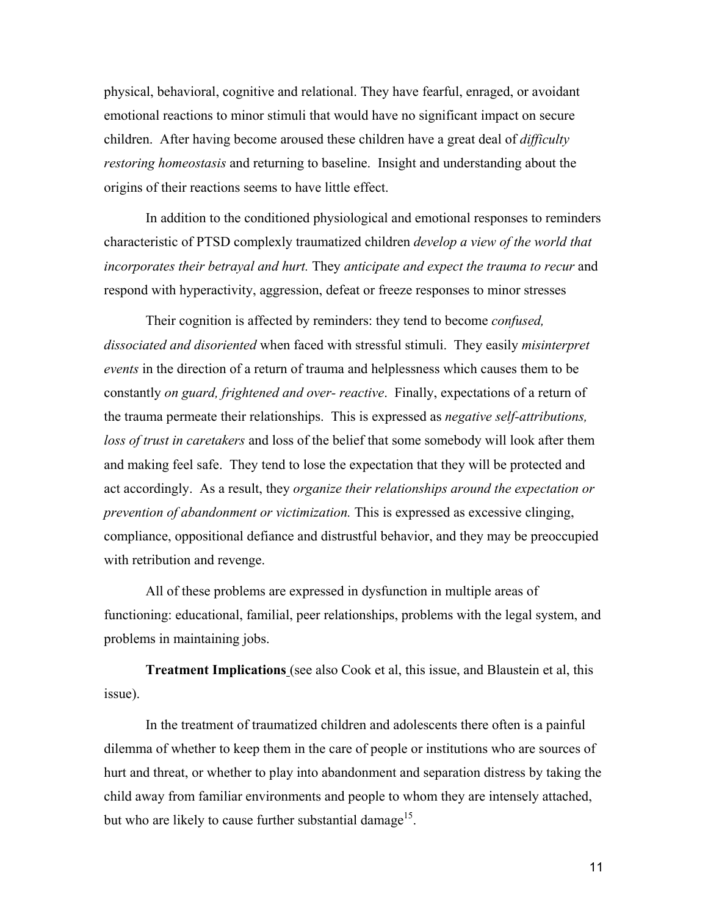physical, behavioral, cognitive and relational. They have fearful, enraged, or avoidant emotional reactions to minor stimuli that would have no significant impact on secure children. After having become aroused these children have a great deal of *difficulty restoring homeostasis* and returning to baseline. Insight and understanding about the origins of their reactions seems to have little effect.

In addition to the conditioned physiological and emotional responses to reminders characteristic of PTSD complexly traumatized children *develop a view of the world that incorporates their betrayal and hurt.* They *anticipate and expect the trauma to recur* and respond with hyperactivity, aggression, defeat or freeze responses to minor stresses

Their cognition is affected by reminders: they tend to become *confused, dissociated and disoriented* when faced with stressful stimuli. They easily *misinterpret events* in the direction of a return of trauma and helplessness which causes them to be constantly *on guard, frightened and over- reactive*. Finally, expectations of a return of the trauma permeate their relationships. This is expressed as *negative self-attributions, loss of trust in caretakers* and loss of the belief that some somebody will look after them and making feel safe. They tend to lose the expectation that they will be protected and act accordingly. As a result, they *organize their relationships around the expectation or prevention of abandonment or victimization.* This is expressed as excessive clinging, compliance, oppositional defiance and distrustful behavior, and they may be preoccupied with retribution and revenge.

All of these problems are expressed in dysfunction in multiple areas of functioning: educational, familial, peer relationships, problems with the legal system, and problems in maintaining jobs.

**Treatment Implications** (see also Cook et al, this issue, and Blaustein et al, this issue).

In the treatment of traumatized children and adolescents there often is a painful dilemma of whether to keep them in the care of people or institutions who are sources of hurt and threat, or whether to play into abandonment and separation distress by taking the child away from familiar environments and people to whom they are intensely attached, but who are likely to cause further substantial damage<sup>15</sup>.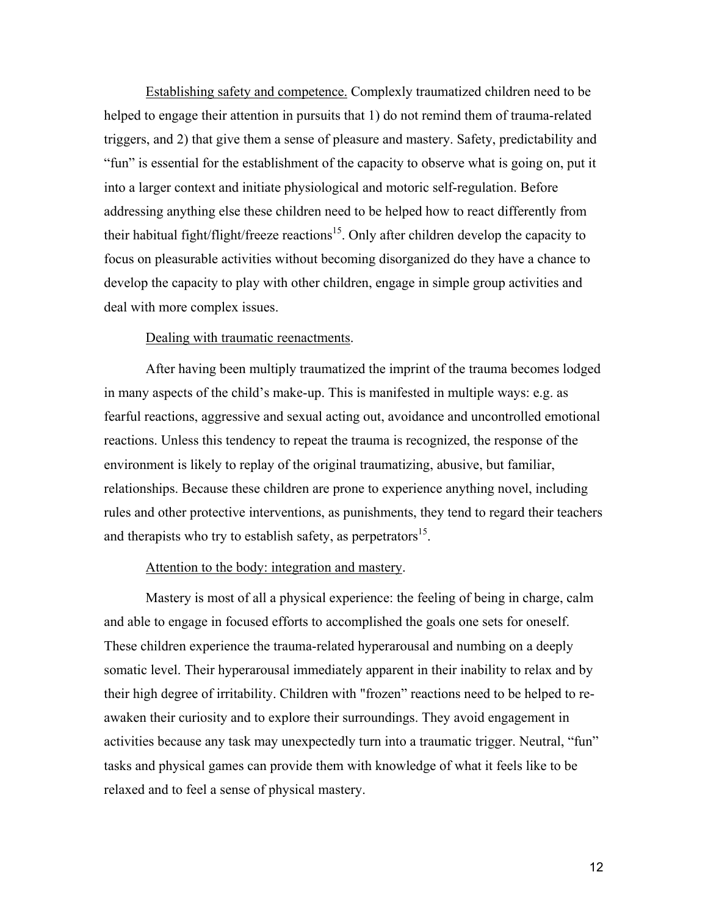Establishing safety and competence. Complexly traumatized children need to be helped to engage their attention in pursuits that 1) do not remind them of trauma-related triggers, and 2) that give them a sense of pleasure and mastery. Safety, predictability and "fun" is essential for the establishment of the capacity to observe what is going on, put it into a larger context and initiate physiological and motoric self-regulation. Before addressing anything else these children need to be helped how to react differently from their habitual fight/flight/freeze reactions<sup>15</sup>. Only after children develop the capacity to focus on pleasurable activities without becoming disorganized do they have a chance to develop the capacity to play with other children, engage in simple group activities and deal with more complex issues.

#### Dealing with traumatic reenactments.

After having been multiply traumatized the imprint of the trauma becomes lodged in many aspects of the child's make-up. This is manifested in multiple ways: e.g. as fearful reactions, aggressive and sexual acting out, avoidance and uncontrolled emotional reactions. Unless this tendency to repeat the trauma is recognized, the response of the environment is likely to replay of the original traumatizing, abusive, but familiar, relationships. Because these children are prone to experience anything novel, including rules and other protective interventions, as punishments, they tend to regard their teachers and therapists who try to establish safety, as perpetrators<sup>15</sup>.

#### Attention to the body: integration and mastery.

Mastery is most of all a physical experience: the feeling of being in charge, calm and able to engage in focused efforts to accomplished the goals one sets for oneself. These children experience the trauma-related hyperarousal and numbing on a deeply somatic level. Their hyperarousal immediately apparent in their inability to relax and by their high degree of irritability. Children with "frozen" reactions need to be helped to reawaken their curiosity and to explore their surroundings. They avoid engagement in activities because any task may unexpectedly turn into a traumatic trigger. Neutral, "fun" tasks and physical games can provide them with knowledge of what it feels like to be relaxed and to feel a sense of physical mastery.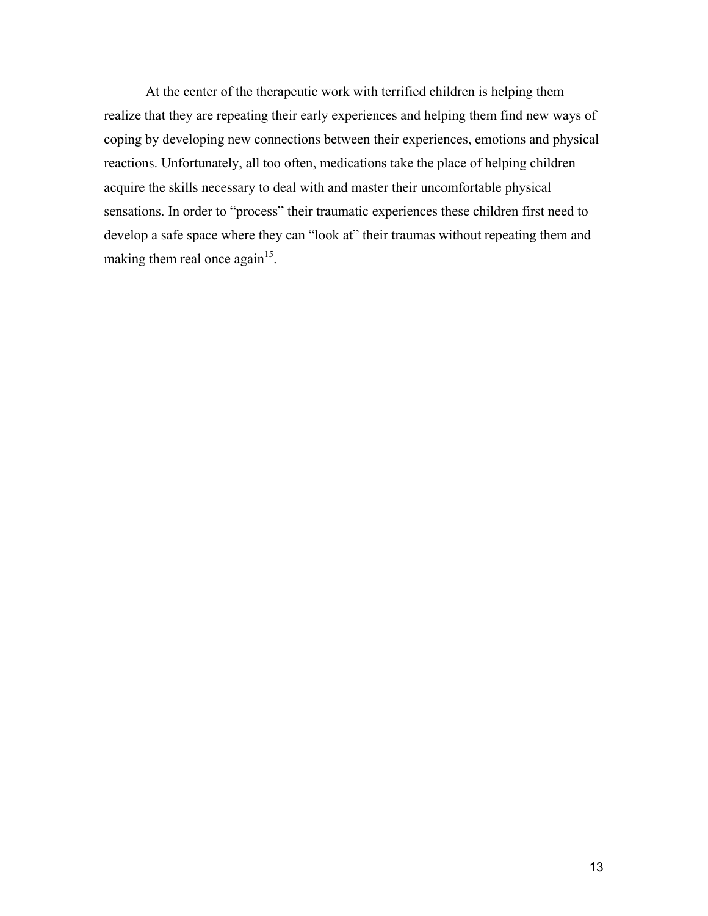At the center of the therapeutic work with terrified children is helping them realize that they are repeating their early experiences and helping them find new ways of coping by developing new connections between their experiences, emotions and physical reactions. Unfortunately, all too often, medications take the place of helping children acquire the skills necessary to deal with and master their uncomfortable physical sensations. In order to "process" their traumatic experiences these children first need to develop a safe space where they can "look at" their traumas without repeating them and making them real once again<sup>15</sup>.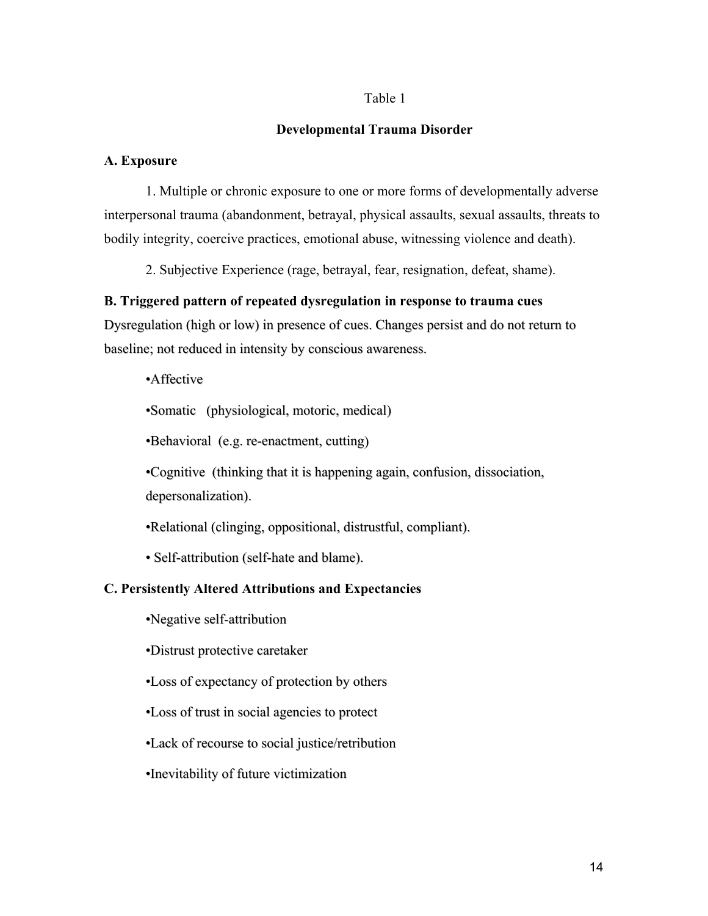#### Table 1

#### **Developmental Trauma Disorder**

#### **A. Exposure**

1. Multiple or chronic exposure to one or more forms of developmentally adverse interpersonal trauma (abandonment, betrayal, physical assaults, sexual assaults, threats to bodily integrity, coercive practices, emotional abuse, witnessing violence and death).

2. Subjective Experience (rage, betrayal, fear, resignation, defeat, shame).

## **B. Triggered pattern of repeated dysregulation in response to trauma cues**

Dysregulation (high or low) in presence of cues. Changes persist and do not return to baseline; not reduced in intensity by conscious awareness.

•Affective

•Somatic (physiological, motoric, medical)

•Behavioral (e.g. re-enactment, cutting)

•Cognitive (thinking that it is happening again, confusion, dissociation, depersonalization).

•Relational (clinging, oppositional, distrustful, compliant).

• Self-attribution (self-hate and blame).

#### **C. Persistently Altered Attributions and Expectancies**

•Negative self-attribution

•Distrust protective caretaker

•Loss of expectancy of protection by others

•Loss of trust in social agencies to protect

•Lack of recourse to social justice/retribution

•Inevitability of future victimization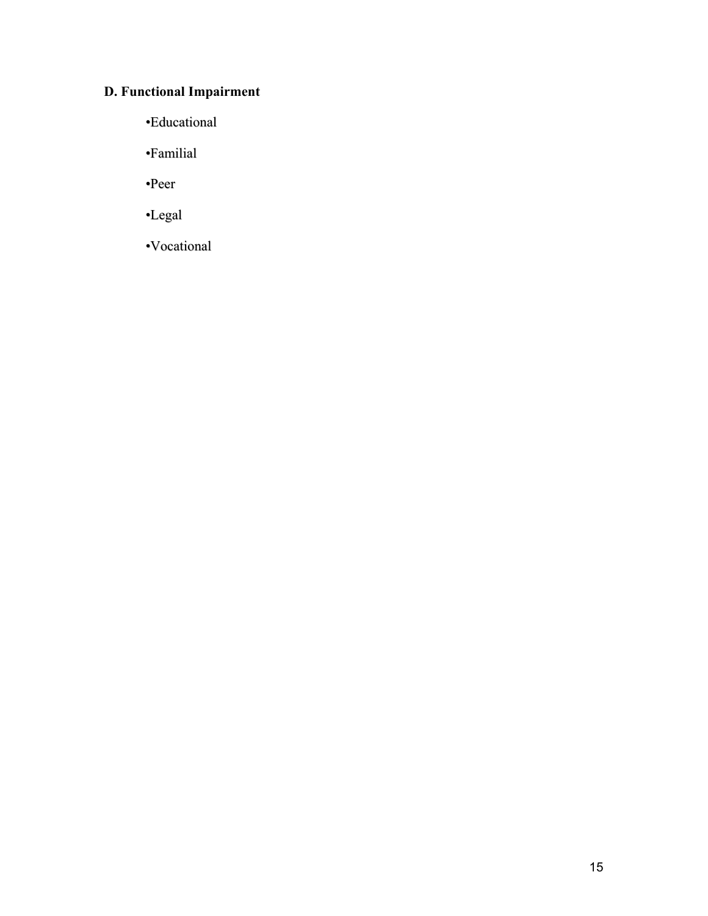# **D. Functional Impairment**

•Educational

•Familial

•Peer

•Legal

•Vocational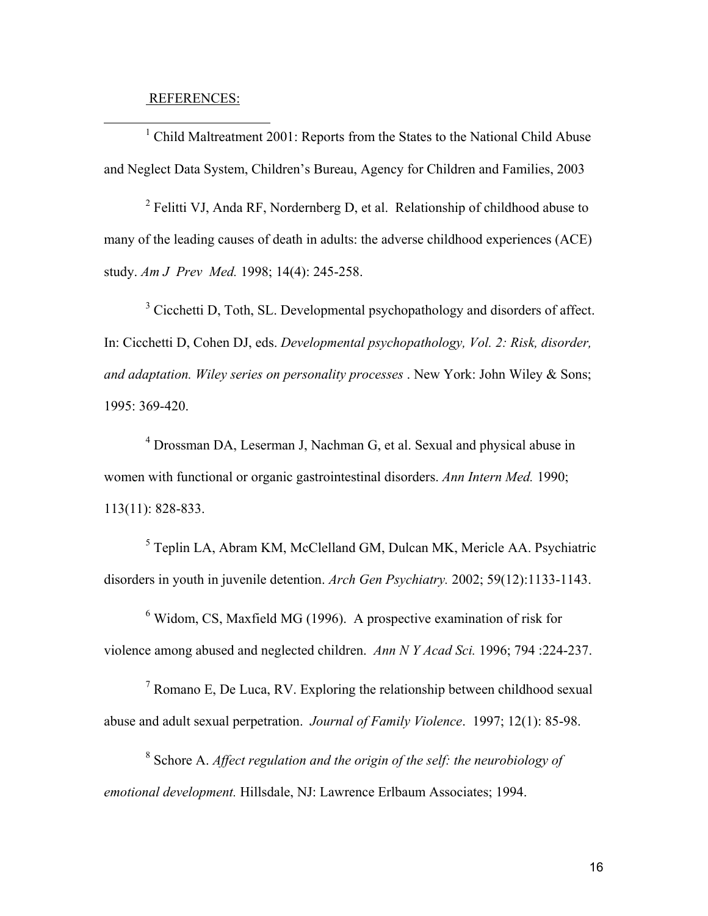#### REFERENCES:

<u>1</u> <sup>1</sup> Child Maltreatment 2001: Reports from the States to the National Child Abuse and Neglect Data System, Children's Bureau, Agency for Children and Families, 2003

 $2$  Felitti VJ, Anda RF, Nordernberg D, et al. Relationship of childhood abuse to many of the leading causes of death in adults: the adverse childhood experiences (ACE) study. *Am J Prev Med.* 1998; 14(4): 245-258.

<sup>3</sup> Cicchetti D, Toth, SL. Developmental psychopathology and disorders of affect. In: Cicchetti D, Cohen DJ, eds. *Developmental psychopathology, Vol. 2: Risk, disorder, and adaptation. Wiley series on personality processes* . New York: John Wiley & Sons; 1995: 369-420.

<sup>4</sup> Drossman DA, Leserman J, Nachman G, et al. Sexual and physical abuse in women with functional or organic gastrointestinal disorders. *Ann Intern Med.* 1990; 113(11): 828-833.

<sup>5</sup> Teplin LA, Abram KM, McClelland GM, Dulcan MK, Mericle AA. Psychiatric disorders in youth in juvenile detention. *Arch Gen Psychiatry.* 2002; 59(12):1133-1143.

 $6$  Widom, CS, Maxfield MG (1996). A prospective examination of risk for violence among abused and neglected children. *Ann N Y Acad Sci.* 1996; 794 :224-237.

 $<sup>7</sup>$  Romano E, De Luca, RV. Exploring the relationship between childhood sexual</sup> abuse and adult sexual perpetration. *Journal of Family Violence*. 1997; 12(1): 85-98.

8 Schore A. *Affect regulation and the origin of the self: the neurobiology of emotional development.* Hillsdale, NJ: Lawrence Erlbaum Associates; 1994.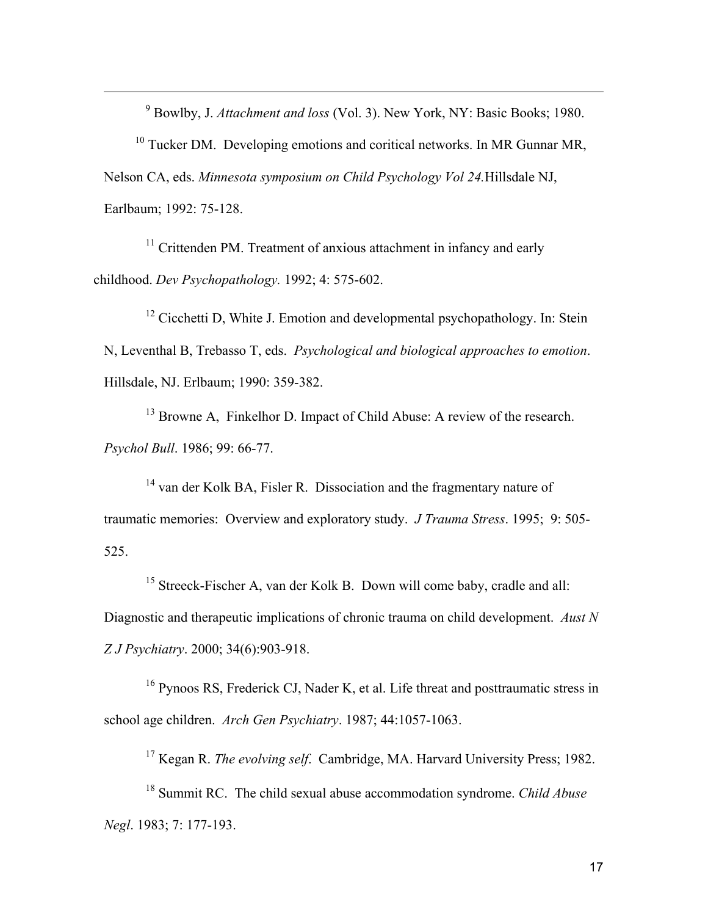9 Bowlby, J. *Attachment and loss* (Vol. 3). New York, NY: Basic Books; 1980.

<sup>10</sup> Tucker DM. Developing emotions and coritical networks. In MR Gunnar MR, Nelson CA, eds. *Minnesota symposium on Child Psychology Vol 24.*Hillsdale NJ, Earlbaum; 1992: 75-128.

 $11$  Crittenden PM. Treatment of anxious attachment in infancy and early childhood. *Dev Psychopathology.* 1992; 4: 575-602.

 $12$  Cicchetti D, White J. Emotion and developmental psychopathology. In: Stein N, Leventhal B, Trebasso T, eds. *Psychological and biological approaches to emotion*. Hillsdale, NJ. Erlbaum; 1990: 359-382.

<sup>13</sup> Browne A, Finkelhor D. Impact of Child Abuse: A review of the research. *Psychol Bull*. 1986; 99: 66-77.

<sup>14</sup> van der Kolk BA, Fisler R. Dissociation and the fragmentary nature of traumatic memories: Overview and exploratory study. *J Trauma Stress*. 1995; 9: 505- 525.

<sup>15</sup> Streeck-Fischer A, van der Kolk B. Down will come baby, cradle and all: Diagnostic and therapeutic implications of chronic trauma on child development. *Aust N Z J Psychiatry*. 2000; 34(6):903-918.

<sup>16</sup> Pynoos RS, Frederick CJ, Nader K, et al. Life threat and posttraumatic stress in school age children. *Arch Gen Psychiatry*. 1987; 44:1057-1063.

<sup>17</sup> Kegan R. *The evolving self.* Cambridge, MA. Harvard University Press; 1982.

18 Summit RC. The child sexual abuse accommodation syndrome. *Child Abuse Negl*. 1983; 7: 177-193.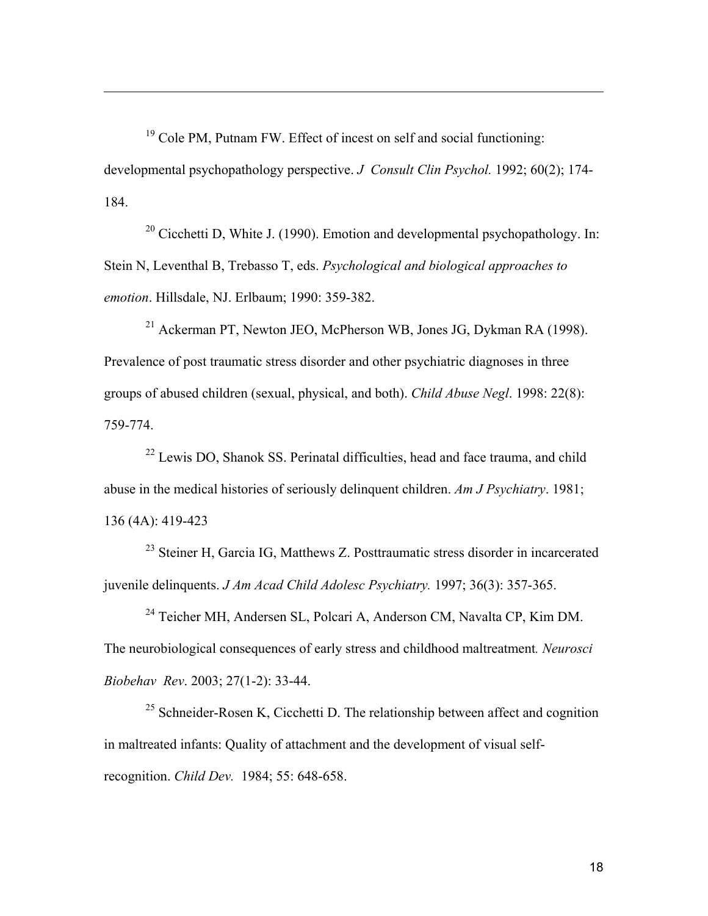$19$  Cole PM, Putnam FW. Effect of incest on self and social functioning: developmental psychopathology perspective. *J Consult Clin Psychol.* 1992; 60(2); 174- 184.

<sup>20</sup> Cicchetti D, White J. (1990). Emotion and developmental psychopathology. In: Stein N, Leventhal B, Trebasso T, eds. *Psychological and biological approaches to emotion*. Hillsdale, NJ. Erlbaum; 1990: 359-382.

<sup>21</sup> Ackerman PT, Newton JEO, McPherson WB, Jones JG, Dykman RA (1998). Prevalence of post traumatic stress disorder and other psychiatric diagnoses in three groups of abused children (sexual, physical, and both). *Child Abuse Negl*. 1998: 22(8): 759-774.

 $22$  Lewis DO, Shanok SS. Perinatal difficulties, head and face trauma, and child abuse in the medical histories of seriously delinquent children. *Am J Psychiatry*. 1981; 136 (4A): 419-423

<sup>23</sup> Steiner H, Garcia IG, Matthews Z. Posttraumatic stress disorder in incarcerated juvenile delinquents. *J Am Acad Child Adolesc Psychiatry.* 1997; 36(3): 357-365.

<sup>24</sup> Teicher MH, Andersen SL, Polcari A, Anderson CM, Navalta CP, Kim DM. The neurobiological consequences of early stress and childhood maltreatment*. Neurosci Biobehav Rev*. 2003; 27(1-2): 33-44.

 $^{25}$  Schneider-Rosen K, Cicchetti D. The relationship between affect and cognition in maltreated infants: Quality of attachment and the development of visual selfrecognition. *Child Dev.* 1984; 55: 648-658.